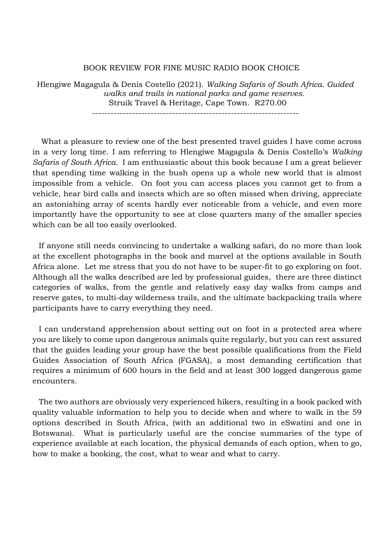## BOOK REVIEW FOR FINE MUSIC RADIO BOOK CHOICE

Hlengiwe Magagula & Denis Costello (2021). *Walking Safaris of South Africa. Guided walks and trails in national parks and game reserves.* Struik Travel & Heritage, Cape Town. R270.00

-------------------------------------------------------------------

 What a pleasure to review one of the best presented travel guides I have come across in a very long time. I am referring to Hlengiwe Magagula & Denis Costello's *Walking Safaris of South Africa.* I am enthusiastic about this book because I am a great believer that spending time walking in the bush opens up a whole new world that is almost impossible from a vehicle. On foot you can access places you cannot get to from a vehicle, hear bird calls and insects which are so often missed when driving, appreciate an astonishing array of scents hardly ever noticeable from a vehicle, and even more importantly have the opportunity to see at close quarters many of the smaller species which can be all too easily overlooked.

 If anyone still needs convincing to undertake a walking safari, do no more than look at the excellent photographs in the book and marvel at the options available in South Africa alone. Let me stress that you do not have to be super-fit to go exploring on foot. Although all the walks described are led by professional guides, there are three distinct categories of walks, from the gentle and relatively easy day walks from camps and reserve gates, to multi-day wilderness trails, and the ultimate backpacking trails where participants have to carry everything they need.

 I can understand apprehension about setting out on foot in a protected area where you are likely to come upon dangerous animals quite regularly, but you can rest assured that the guides leading your group have the best possible qualifications from the Field Guides Association of South Africa (FGASA), a most demanding certification that requires a minimum of 600 hours in the field and at least 300 logged dangerous game encounters

 The two authors are obviously very experienced hikers, resulting in a book packed with quality valuable information to help you to decide when and where to walk in the 59 options described in South Africa, (with an additional two in eSwatini and one in Botswana). What is particularly useful are the concise summaries of the type of experience available at each location, the physical demands of each option, when to go, how to make a booking, the cost, what to wear and what to carry.